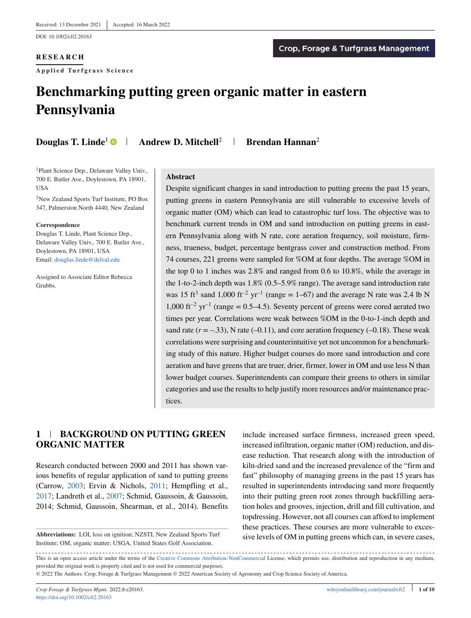DOI: 10.1002/cft2.20163

## **RESEARCH**

**Applied Tur fgrass Science**

# **Benchmarking putting green organic matter in eastern Pennsylvania**

**Douglas T. Linde<sup>1</sup> • Andrew D. Mitchell<sup>2</sup> + Brendan Hannan<sup>2</sup>** 

<sup>1</sup>Plant Science Dep., Delaware Valley Univ., 700 E. Butler Ave., Doylestown, PA 18901, **USA** 

2New Zealand Sports Turf Institute, PO Box 347, Palmerston North 4440, New Zealand

#### **Correspondence**

Douglas T. Linde, Plant Science Dep., Delaware Valley Univ., 700 E. Butler Ave., Doylestown, PA 18901, USA Email: [douglas.linde@delval.edu](mailto:douglas.linde@delval.edu)

Assigned to Associate Editor Rebecca Grubbs.

#### **Abstract**

Despite significant changes in sand introduction to putting greens the past 15 years, putting greens in eastern Pennsylvania are still vulnerable to excessive levels of organic matter (OM) which can lead to catastrophic turf loss. The objective was to benchmark current trends in OM and sand introduction on putting greens in eastern Pennsylvania along with N rate, core aeration frequency, soil moisture, firmness, trueness, budget, percentage bentgrass cover and construction method. From 74 courses, 221 greens were sampled for %OM at four depths. The average %OM in the top 0 to 1 inches was 2.8% and ranged from 0.6 to 10.8%, while the average in the 1-to-2-inch depth was 1.8% (0.5–5.9% range). The average sand introduction rate was 15 ft<sup>3</sup> sand 1,000 ft<sup>-2</sup> yr<sup>-1</sup> (range = 1–67) and the average N rate was 2.4 lb N  $1,000$  ft<sup>-2</sup> yr<sup>-1</sup> (range = 0.5–4.5). Seventy percent of greens were cored aerated two times per year. Correlations were weak between %OM in the 0-to-1-inch depth and sand rate  $(r = -.33)$ , N rate  $(-0.11)$ , and core aeration frequency  $(-0.18)$ . These weak correlations were surprising and counterintuitive yet not uncommon for a benchmarking study of this nature. Higher budget courses do more sand introduction and core aeration and have greens that are truer, drier, firmer, lower in OM and use less N than lower budget courses. Superintendents can compare their greens to others in similar categories and use the results to help justify more resources and/or maintenance practices.

# **1 BACKGROUND ON PUTTING GREEN ORGANIC MATTER**

Research conducted between 2000 and 2011 has shown various benefits of regular application of sand to putting greens (Carrow, [2003;](#page-9-0) Ervin & Nichols, [2011;](#page-9-0) Hempfling et al., [2017;](#page-9-0) Landreth et al., [2007;](#page-9-0) Schmid, Gaussoin, & Gaussoin, 2014; Schmid, Gaussoin, Shearman, et al., 2014). Benefits

include increased surface firmness, increased green speed, increased infiltration, organic matter (OM) reduction, and disease reduction. That research along with the introduction of kiln-dried sand and the increased prevalence of the "firm and fast" philosophy of managing greens in the past 15 years has resulted in superintendents introducing sand more frequently into their putting green root zones through backfilling aeration holes and grooves, injection, drill and fill cultivation, and topdressing. However, not all courses can afford to implement these practices. These courses are more vulnerable to excessive levels of OM in putting greens which can, in severe cases,

**Abbreviations:** LOI, loss on ignition; NZSTI, New Zealand Sports Turf Institute; OM, organic matter; USGA, United States Golf Association.

This is an open access article under the terms of the [Creative Commons Attribution-NonCommercial](http://creativecommons.org/licenses/by-nc/4.0/) License, which permits use, distribution and reproduction in any medium, provided the original work is properly cited and is not used for commercial purposes.

<sup>©</sup> 2022 The Authors. Crop, Forage & Turfgrass Management © 2022 American Society of Agronomy and Crop Science Society of America.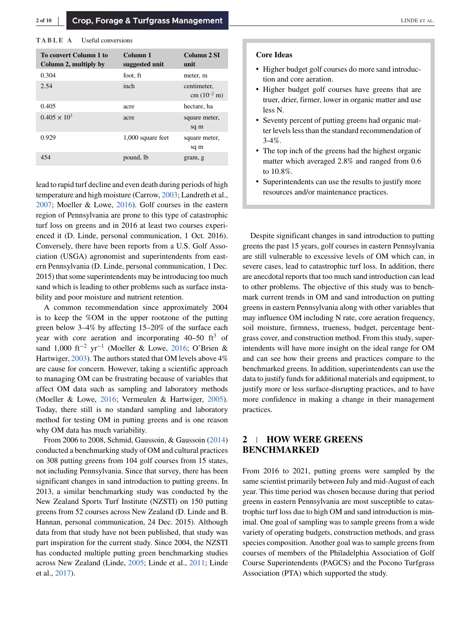#### **TABLE A** Useful conversions

| <b>To convert Column 1 to</b><br>Column 2, multiply by | Column 1<br>suggested unit | Column 2 SI<br>unit                     |
|--------------------------------------------------------|----------------------------|-----------------------------------------|
| 0.304                                                  | foot, ft                   | meter, m                                |
| 2.54                                                   | inch                       | centimeter.<br>cm $(10^{-2} \text{ m})$ |
| 0.405                                                  | acre                       | hectare, ha                             |
| $0.405 \times 10^{3}$                                  | acre                       | square meter,<br>sq m                   |
| 0.929                                                  | 1,000 square feet          | square meter,<br>sq m                   |
| 454                                                    | pound, lb                  | gram, g                                 |

lead to rapid turf decline and even death during periods of high temperature and high moisture (Carrow, [2003;](#page-9-0) Landreth et al., [2007;](#page-9-0) Moeller & Lowe, [2016\)](#page-9-0). Golf courses in the eastern region of Pennsylvania are prone to this type of catastrophic turf loss on greens and in 2016 at least two courses experienced it (D. Linde, personal communication, 1 Oct. 2016). Conversely, there have been reports from a U.S. Golf Association (USGA) agronomist and superintendents from eastern Pennsylvania (D. Linde, personal communication, 1 Dec. 2015) that some superintendents may be introducing too much sand which is leading to other problems such as surface instability and poor moisture and nutrient retention.

A common recommendation since approximately 2004 is to keep the %OM in the upper rootzone of the putting green below 3–4% by affecting 15–20% of the surface each year with core aeration and incorporating  $40-50$  ft<sup>3</sup> of sand 1,000 ft<sup>-2</sup> yr<sup>-1</sup> (Moeller & Lowe, [2016;](#page-9-0) O'Brien & Hartwiger, [2003\)](#page-9-0). The authors stated that OM levels above 4% are cause for concern. However, taking a scientific approach to managing OM can be frustrating because of variables that affect OM data such as sampling and laboratory methods (Moeller & Lowe, [2016;](#page-9-0) Vermeulen & Hartwiger, [2005\)](#page-9-0). Today, there still is no standard sampling and laboratory method for testing OM in putting greens and is one reason why OM data has much variability.

From 2006 to 2008, Schmid, Gaussoin, & Gaussoin [\(2014\)](#page-9-0) conducted a benchmarking study of OM and cultural practices on 308 putting greens from 104 golf courses from 15 states, not including Pennsylvania. Since that survey, there has been significant changes in sand introduction to putting greens. In 2013, a similar benchmarking study was conducted by the New Zealand Sports Turf Institute (NZSTI) on 150 putting greens from 52 courses across New Zealand (D. Linde and B. Hannan, personal communication, 24 Dec. 2015). Although data from that study have not been published, that study was part inspiration for the current study. Since 2004, the NZSTI has conducted multiple putting green benchmarking studies across New Zealand (Linde, [2005;](#page-9-0) Linde et al., [2011;](#page-9-0) Linde et al., [2017\)](#page-9-0).

#### **Core Ideas**

- ∙ Higher budget golf courses do more sand introduction and core aeration.
- ∙ Higher budget golf courses have greens that are truer, drier, firmer, lower in organic matter and use less N.
- ∙ Seventy percent of putting greens had organic matter levels less than the standard recommendation of 3-4%.
- ∙ The top inch of the greens had the highest organic matter which averaged 2.8% and ranged from 0.6 to 10.8%.
- ∙ Superintendents can use the results to justify more resources and/or maintenance practices.

Despite significant changes in sand introduction to putting greens the past 15 years, golf courses in eastern Pennsylvania are still vulnerable to excessive levels of OM which can, in severe cases, lead to catastrophic turf loss. In addition, there are anecdotal reports that too much sand introduction can lead to other problems. The objective of this study was to benchmark current trends in OM and sand introduction on putting greens in eastern Pennsylvania along with other variables that may influence OM including N rate, core aeration frequency, soil moisture, firmness, trueness, budget, percentage bentgrass cover, and construction method. From this study, superintendents will have more insight on the ideal range for OM and can see how their greens and practices compare to the benchmarked greens. In addition, superintendents can use the data to justify funds for additional materials and equipment, to justify more or less surface-disrupting practices, and to have more confidence in making a change in their management practices.

# **2 HOW WERE GREENS BENCHMARKED**

From 2016 to 2021, putting greens were sampled by the same scientist primarily between July and mid-August of each year. This time period was chosen because during that period greens in eastern Pennsylvania are most susceptible to catastrophic turf loss due to high OM and sand introduction is minimal. One goal of sampling was to sample greens from a wide variety of operating budgets, construction methods, and grass species composition. Another goal was to sample greens from courses of members of the Philadelphia Association of Golf Course Superintendents (PAGCS) and the Pocono Turfgrass Association (PTA) which supported the study.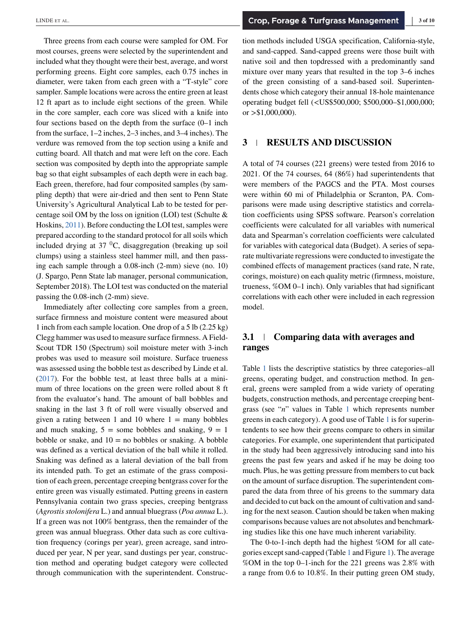Three greens from each course were sampled for OM. For most courses, greens were selected by the superintendent and included what they thought were their best, average, and worst performing greens. Eight core samples, each 0.75 inches in diameter, were taken from each green with a "T-style" core sampler. Sample locations were across the entire green at least 12 ft apart as to include eight sections of the green. While in the core sampler, each core was sliced with a knife into four sections based on the depth from the surface (0–1 inch from the surface, 1–2 inches, 2–3 inches, and 3–4 inches). The verdure was removed from the top section using a knife and cutting board. All thatch and mat were left on the core. Each section was composited by depth into the appropriate sample bag so that eight subsamples of each depth were in each bag. Each green, therefore, had four composited samples (by sampling depth) that were air-dried and then sent to Penn State University's Agricultural Analytical Lab to be tested for percentage soil OM by the loss on ignition (LOI) test (Schulte & Hoskins, [2011\)](#page-9-0). Before conducting the LOI test, samples were prepared according to the standard protocol for all soils which included drying at  $37 \text{ }^0C$ , disaggregation (breaking up soil clumps) using a stainless steel hammer mill, and then passing each sample through a 0.08-inch (2-mm) sieve (no. 10) (J. Spargo, Penn State lab manager, personal communication, September 2018). The LOI test was conducted on the material passing the 0.08-inch (2-mm) sieve.

Immediately after collecting core samples from a green, surface firmness and moisture content were measured about 1 inch from each sample location. One drop of a 5 lb (2.25 kg) Clegg hammer was used to measure surface firmness. A Field-Scout TDR 150 (Spectrum) soil moisture meter with 3-inch probes was used to measure soil moisture. Surface trueness was assessed using the bobble test as described by Linde et al. [\(2017\)](#page-9-0). For the bobble test, at least three balls at a minimum of three locations on the green were rolled about 8 ft from the evaluator's hand. The amount of ball bobbles and snaking in the last 3 ft of roll were visually observed and given a rating between 1 and 10 where  $1 =$  many bobbles and much snaking,  $5 =$  some bobbles and snaking,  $9 = 1$ bobble or snake, and  $10 =$  no bobbles or snaking. A bobble was defined as a vertical deviation of the ball while it rolled. Snaking was defined as a lateral deviation of the ball from its intended path. To get an estimate of the grass composition of each green, percentage creeping bentgrass cover for the entire green was visually estimated. Putting greens in eastern Pennsylvania contain two grass species, creeping bentgrass (*Agrostis stolonifera* L.) and annual bluegrass (*Poa annua* L.). If a green was not 100% bentgrass, then the remainder of the green was annual bluegrass. Other data such as core cultivation frequency (corings per year), green acreage, sand introduced per year, N per year, sand dustings per year, construction method and operating budget category were collected through communication with the superintendent. Construction methods included USGA specification, California-style, and sand-capped. Sand-capped greens were those built with native soil and then topdressed with a predominantly sand mixture over many years that resulted in the top 3–6 inches of the green consisting of a sand-based soil. Superintendents chose which category their annual 18-hole maintenance operating budget fell (*<*US\$500,000; \$500,000–\$1,000,000; or *>*\$1,000,000).

## **3 RESULTS AND DISCUSSION**

A total of 74 courses (221 greens) were tested from 2016 to 2021. Of the 74 courses, 64 (86%) had superintendents that were members of the PAGCS and the PTA. Most courses were within 60 mi of Philadelphia or Scranton, PA. Comparisons were made using descriptive statistics and correlation coefficients using SPSS software. Pearson's correlation coefficients were calculated for all variables with numerical data and Spearman's correlation coefficients were calculated for variables with categorical data (Budget). A series of separate multivariate regressions were conducted to investigate the combined effects of management practices (sand rate, N rate, corings, moisture) on each quality metric (firmness, moisture, trueness, %OM 0–1 inch). Only variables that had significant correlations with each other were included in each regression model.

## **3.1 Comparing data with averages and ranges**

Table [1](#page-3-0) lists the descriptive statistics by three categories–all greens, operating budget, and construction method. In general, greens were sampled from a wide variety of operating budgets, construction methods, and percentage creeping bentgrass (see "*n*" values in Table [1](#page-3-0) which represents number greens in each category). A good use of Table [1](#page-3-0) is for superintendents to see how their greens compare to others in similar categories. For example, one superintendent that participated in the study had been aggressively introducing sand into his greens the past few years and asked if he may be doing too much. Plus, he was getting pressure from members to cut back on the amount of surface disruption. The superintendent compared the data from three of his greens to the summary data and decided to cut back on the amount of cultivation and sanding for the next season. Caution should be taken when making comparisons because values are not absolutes and benchmarking studies like this one have much inherent variability.

The 0-to-1-inch depth had the highest %OM for all categories except sand-capped (Table [1](#page-3-0) and Figure [1\)](#page-4-0). The average %OM in the top 0–1-inch for the 221 greens was 2.8% with a range from 0.6 to 10.8%. In their putting green OM study,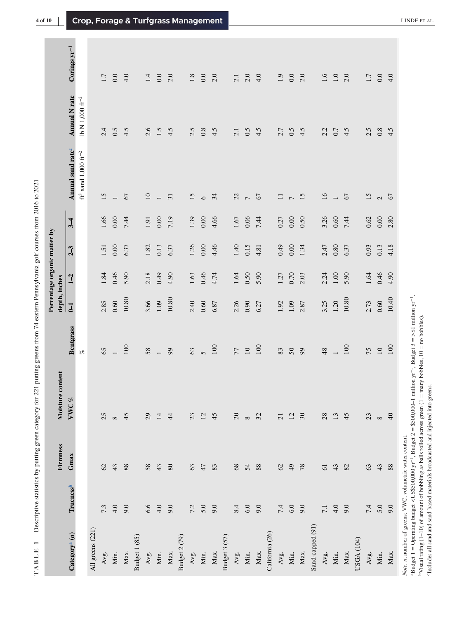Descriptive statistics by putting green category for 221 putting greens from 74 eastern Pennsylvania golf courses from 2016 to 2021 **TABLE 1** Descriptive statistics by putting green category for 221 putting greens from 74 eastern Pennsylvania golf courses from 2016 to 2021 TABLE 1

<span id="page-3-0"></span>

|                                                           |                       | Firmness        | Moisture content |                       | depth, inches  |          | Percentage organic matter by |          |                                                   |                                  |                   |
|-----------------------------------------------------------|-----------------------|-----------------|------------------|-----------------------|----------------|----------|------------------------------|----------|---------------------------------------------------|----------------------------------|-------------------|
| Category <sup>a</sup> $(n)$                               | Trueness <sup>b</sup> | Gmax            | VWC%             | <b>Bentgrass</b>      | $\overline{L}$ | $1 - 2$  | $2-3$                        | $3-4$    | Annual sand rate <sup>c</sup>                     | <b>Annual N</b> rate             | Corings $yr^{-1}$ |
|                                                           |                       |                 |                  | $\mathscr{C}$         |                |          |                              |          | $\mathrm{ft}^3$ s<br>and 1,000 $\mathrm{ft}^{-2}$ | $\rm{lb}$ N 1,000 $\rm{ft^{-2}}$ |                   |
| All greens (221)                                          |                       |                 |                  |                       |                |          |                              |          |                                                   |                                  |                   |
| Avg.                                                      | 7.3                   | $\mathcal{O}$   | 25               | 65                    | 2.85           | 1.84     | 1.51                         | 1.66     | 15                                                | 2.4                              | 1.7               |
| Min.                                                      | 4.0                   | 43              | $\infty$         |                       | 0.60           | 0.46     | 0.00                         | 0.00     | $\overline{\phantom{a}}$                          | 0.5                              | $0.0\,$           |
| Max.                                                      | 9.0                   | 88              | 45               | 100                   | 10.80          | 5.90     | 6.37                         | 7.44     | 67                                                | 4.5                              | 4.0               |
| Budget 1 (85)                                             |                       |                 |                  |                       |                |          |                              |          |                                                   |                                  |                   |
| Avg.                                                      | 6.6                   | 58              | $\overline{29}$  | 58                    | 3.66           | 2.18     | 1.82                         | 1.91     | $10$                                              | 2.6                              | 1.4               |
| Min.                                                      | 4.0                   | 43              | $14\,$           |                       | $1.09\,$       | 0.49     | 0.13                         | 0.00     | $\overline{\phantom{0}}$                          | 1.5                              | $0.0\,$           |
| Max.                                                      | 9.0                   | $80\,$          | $\ddot{4}$       | $\mathfrak{g}$        | 10.80          | 4.90     | 6.37                         | 7.19     | $\overline{31}$                                   | 4.5                              | 2.0               |
| Budget 2 (79)                                             |                       |                 |                  |                       |                |          |                              |          |                                                   |                                  |                   |
| Avg.                                                      | 7.2                   | $63\,$          | 23               | 63                    | 2.40           | 1.63     | 1.26                         | 1.39     | 15                                                | 2.5                              | $1.8\,$           |
| Min.                                                      | $5.0\,$               | 47              | 12               | $\sigma$              | $0.60\,$       | 0.46     | $0.00\,$                     | 0.00     | $\circ$                                           | 0.8                              | $0.0\,$           |
| Max.                                                      | 9.0                   | 83              | 45               | 100                   | 6.87           | 4.74     | 4.46                         | 4.66     | 34                                                | 4.5                              | 2.0               |
| Budget 3 (57)                                             |                       |                 |                  |                       |                |          |                              |          |                                                   |                                  |                   |
| Avg.                                                      | 8.4                   | $68\,$          | $\Omega$         | 77                    | 2.26           | $1.64$   | 1.40                         | $1.67\,$ | 22                                                | 2.1                              | 2.1               |
| Min.                                                      | $6.0\,$               | 54              | $\infty$         | $\Box$                | 0.90           | 0.50     | 0.15                         | 0.06     | $\overline{\phantom{0}}$                          | 0.5                              | 2.0               |
| Max.                                                      | 9.0                   | 88              | 32               | 100                   | 6.27           | 5.90     | 4.81                         | 7.44     | 67                                                | 4.5                              | 4.0               |
| California (26)                                           |                       |                 |                  |                       |                |          |                              |          |                                                   |                                  |                   |
| Avg.                                                      | 7.4                   | $\mathcal{O}$   | $\overline{21}$  | 83                    | 1.92           | 1.27     | 64.0                         | 0.27     | $\equiv$                                          | 2.7                              | $1.9$             |
| Min.                                                      | $6.0\,$               | $\overline{4}$  | 12               | $50\,$                | 1.09           | 0.70     | $0.00\,$                     | 0.00     | $\overline{ }$                                    | 0.5                              | $0.0\,$           |
| Max.                                                      | 9.0                   | $78$            | $\sqrt{30}$      | $\mathcal{S}^{\circ}$ | 2.87           | 2.03     | 1.34                         | 0.50     | 15                                                | 4.5                              | 2.0               |
| Sand-capped (91)                                          |                       |                 |                  |                       |                |          |                              |          |                                                   |                                  |                   |
| Avg.                                                      | 7.1                   | $\overline{61}$ | $28$             | 48                    | 3.25           | 2.24     | 2.47                         | 3.26     | $16\,$                                            | 2.2                              | 1.6               |
| Min.                                                      | 4.0                   | 43              | 13               |                       | $1.20$         | $1.00\,$ | 0.80                         | 0.60     | $\overline{\phantom{0}}$                          | 0.7                              | $1.0\,$           |
| Max.                                                      | 9.0                   | 82              | 45               | 100                   | 10.80          | 5.90     | 6.37                         | 7.44     | 67                                                | 4.5                              | 2.0               |
| USGA (104)                                                |                       |                 |                  |                       |                |          |                              |          |                                                   |                                  |                   |
| Avg.                                                      | 7.4                   | $63\,$          | $23\,$           | 75                    | 2.73           | 1.64     | 0.93                         | 0.62     | 15                                                | 2.5                              | $1.7\,$           |
| Min.                                                      | 5.0                   | 43              | ${}^{\circ}$     | $10\,$                | 0.60           | 0.46     | 0.13                         | $0.00\,$ | $\mathbf{C}$                                      | 0.8                              | 0.0               |
| Max.                                                      | 9.0                   | 88              | $\Theta$         | 100                   | 10.40          | 4.90     | 4.18                         | 2.80     | 67                                                | 4.5                              | 4.0               |
| Note, n, number of greens; VWC, volumetric water content. |                       |                 |                  |                       |                |          |                              |          |                                                   |                                  |                   |

*Note. n*, number of greens; VWC, volumetric water content.

Note: *n*, number of greens, *y* w., younnent water content.<br>
<sup>a</sup> Budget 1 = Operating budget <US\$500,000 yr<sup>-1</sup>, Budget 2 = \$500,000-1 million yr<sup>-1</sup>, Budget 3 = >\$1 million yr<sup>-1</sup>.<br>
<sup>b</sup>Visual rating (1–10) of amount of aBudget 1 = Operating budget *<*US\$500,000 yr−1, Budget 2 = \$500,000–1 million yr−1, Budget 3 = *>*\$1 million yr−1.

Visual rating (1–10) of amount of bobbling as balls rolled across green (1 = many bobbles, 10 = no bobbles).

'Includes all sand and sand-based materials broadcasted and injected into greens. cIncludes all sand and sand-based materials broadcasted and injected into greens.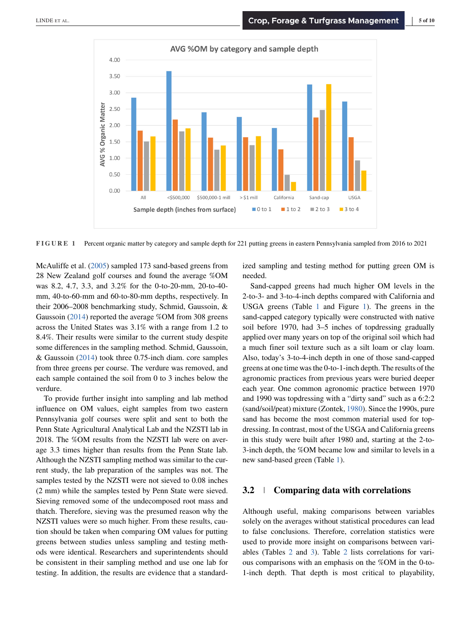<span id="page-4-0"></span>

**FIGURE 1** Percent organic matter by category and sample depth for 221 putting greens in eastern Pennsylvania sampled from 2016 to 2021

McAuliffe et al. [\(2005\)](#page-9-0) sampled 173 sand-based greens from 28 New Zealand golf courses and found the average %OM was 8.2, 4.7, 3.3, and 3.2% for the 0-to-20-mm, 20-to-40 mm, 40-to-60-mm and 60-to-80-mm depths, respectively. In their 2006–2008 benchmarking study, Schmid, Gaussoin, & Gaussoin [\(2014\)](#page-9-0) reported the average %OM from 308 greens across the United States was 3.1% with a range from 1.2 to 8.4%. Their results were similar to the current study despite some differences in the sampling method. Schmid, Gaussoin, & Gaussoin [\(2014\)](#page-9-0) took three 0.75-inch diam. core samples from three greens per course. The verdure was removed, and each sample contained the soil from 0 to 3 inches below the verdure.

To provide further insight into sampling and lab method influence on OM values, eight samples from two eastern Pennsylvania golf courses were split and sent to both the Penn State Agricultural Analytical Lab and the NZSTI lab in 2018. The %OM results from the NZSTI lab were on average 3.3 times higher than results from the Penn State lab. Although the NZSTI sampling method was similar to the current study, the lab preparation of the samples was not. The samples tested by the NZSTI were not sieved to 0.08 inches (2 mm) while the samples tested by Penn State were sieved. Sieving removed some of the undecomposed root mass and thatch. Therefore, sieving was the presumed reason why the NZSTI values were so much higher. From these results, caution should be taken when comparing OM values for putting greens between studies unless sampling and testing methods were identical. Researchers and superintendents should be consistent in their sampling method and use one lab for testing. In addition, the results are evidence that a standardized sampling and testing method for putting green OM is needed.

Sand-capped greens had much higher OM levels in the 2-to-3- and 3-to-4-inch depths compared with California and USGA greens (Table [1](#page-3-0) and Figure 1). The greens in the sand-capped category typically were constructed with native soil before 1970, had 3–5 inches of topdressing gradually applied over many years on top of the original soil which had a much finer soil texture such as a silt loam or clay loam. Also, today's 3-to-4-inch depth in one of those sand-capped greens at one time was the 0-to-1-inch depth. The results of the agronomic practices from previous years were buried deeper each year. One common agronomic practice between 1970 and 1990 was topdressing with a "dirty sand" such as a 6:2:2 (sand/soil/peat) mixture (Zontek, [1980\)](#page-9-0). Since the 1990s, pure sand has become the most common material used for topdressing. In contrast, most of the USGA and California greens in this study were built after 1980 and, starting at the 2-to-3-inch depth, the %OM became low and similar to levels in a new sand-based green (Table [1\)](#page-3-0).

## **3.2 Comparing data with correlations**

Although useful, making comparisons between variables solely on the averages without statistical procedures can lead to false conclusions. Therefore, correlation statistics were used to provide more insight on comparisons between variables (Tables [2](#page-5-0) and [3\)](#page-5-0). Table [2](#page-5-0) lists correlations for various comparisons with an emphasis on the %OM in the 0-to-1-inch depth. That depth is most critical to playability,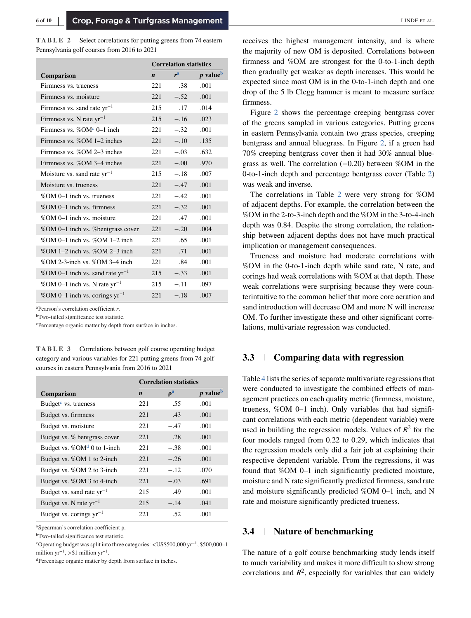<span id="page-5-0"></span>**TABLE 2** Select correlations for putting greens from 74 eastern Pennsylvania golf courses from 2016 to 2021

|                                          |                  | <b>Correlation statistics</b> |                             |
|------------------------------------------|------------------|-------------------------------|-----------------------------|
| <b>Comparison</b>                        | $\boldsymbol{n}$ | r <sup>a</sup>                | <i>p</i> value <sup>b</sup> |
| Firmness vs. trueness                    | 221              | .38                           | .001                        |
| Firmness vs. moisture                    | 221              | $-.52$                        | .001                        |
| Firmness vs. sand rate $yr^{-1}$         | 215              | .17                           | .014                        |
| Firmness vs. N rate $yr^{-1}$            | 215              | $-.16$                        | .023                        |
| Firmness vs. $%OM^c$ 0–1 inch            | 221              | $-.32$                        | .001                        |
| Firmness vs. $%OM 1-2$ inches            | 221              | $-.10$                        | .135                        |
| Firmness vs. $%OM 2-3$ inches            | 221              | $-.03$                        | .632                        |
| Firmness vs. %OM 3-4 inches              | 221              | $-.00$                        | .970                        |
| Moisture vs. sand rate $yr^{-1}$         | 215              | $-.18$                        | .007                        |
| Moisture vs. trueness                    | 221              | $-.47$                        | .001                        |
| %OM 0-1 inch vs. trueness                | 221              | $-.42$                        | .001                        |
| %OM 0-1 inch vs. firmness                | 221              | $-.32$                        | .001                        |
| %OM 0–1 inch vs. moisture                | 221              | .47                           | .001                        |
| %OM 0–1 inch vs. % bentgrass cover       | 221              | $-.20$                        | .004                        |
| %OM 0-1 inch vs. %OM 1-2 inch            | 221              | .65                           | .001                        |
| %OM 1-2 inch vs. %OM 2-3 inch            | 221              | .71                           | .001                        |
| $\%$ OM 2-3-inch vs. $\%$ OM 3-4 inch    | 221              | .84                           | .001                        |
| %OM 0-1 inch vs. sand rate $yr^{-1}$     | 215              | $-.33$                        | .001                        |
| %OM 0-1 inch vs. N rate yr <sup>-1</sup> | 215              | $-.11$                        | .097                        |
| %OM 0-1 inch vs. corings $yr^{-1}$       | 221              | $-.18$                        | .007                        |

aPearson's correlation coefficient *r*.

bTwo-tailed significance test statistic.

<sup>c</sup>Percentage organic matter by depth from surface in inches.

**TABLE 3** Correlations between golf course operating budget category and various variables for 221 putting greens from 74 golf courses in eastern Pennsylvania from 2016 to 2021

|                                  | <b>Correlation statistics</b> |                                  |           |  |  |
|----------------------------------|-------------------------------|----------------------------------|-----------|--|--|
| Comparison                       | $\boldsymbol{n}$              | $\boldsymbol{\rho}^{\mathrm{a}}$ | $p$ value |  |  |
| Budget <sup>c</sup> vs. trueness | 221                           | .55                              | .001      |  |  |
| Budget vs. firmness              | 22.1                          | .43                              | .001      |  |  |
| Budget vs. moisture              | 221                           | $-.47$                           | .001      |  |  |
| Budget vs. % bentgrass cover     | 221                           | .28                              | .001      |  |  |
| Budget vs. $%OMd 0$ to 1-inch    | 221                           | $-.38$                           | .001      |  |  |
| Budget vs. %OM 1 to 2-inch       | 221                           | $-.26$                           | .001      |  |  |
| Budget vs. %OM 2 to 3-inch       | 221                           | $-.12$                           | .070      |  |  |
| Budget vs. %OM 3 to 4-inch       | 221                           | $-.03$                           | .691      |  |  |
| Budget vs. sand rate $yr^{-1}$   | 215                           | .49                              | .001      |  |  |
| Budget vs. N rate $yr^{-1}$      | 215                           | $-.14$                           | .041      |  |  |
| Budget vs. corings $yr^{-1}$     | 22.1                          | .52                              | .001      |  |  |

aSpearman's correlation coefficient ρ.

<sup>b</sup>Two-tailed significance test statistic.

cOperating budget was split into three categories: *<*US\$500,000 yr<sup>−</sup>1, \$500,000–1 million  $yr^{-1}$ , > \$1 million  $yr^{-1}$ .

dPercentage organic matter by depth from surface in inches.

receives the highest management intensity, and is where the majority of new OM is deposited. Correlations between firmness and %OM are strongest for the 0-to-1-inch depth then gradually get weaker as depth increases. This would be expected since most OM is in the 0-to-1-inch depth and one drop of the 5 lb Clegg hammer is meant to measure surface firmness.

Figure [2](#page-6-0) shows the percentage creeping bentgrass cover of the greens sampled in various categories. Putting greens in eastern Pennsylvania contain two grass species, creeping bentgrass and annual bluegrass. In Figure [2,](#page-6-0) if a green had 70% creeping bentgrass cover then it had 30% annual bluegrass as well. The correlation (−0.20) between %OM in the 0-to-1-inch depth and percentage bentgrass cover (Table 2) was weak and inverse.

The correlations in Table 2 were very strong for %OM of adjacent depths. For example, the correlation between the %OM in the 2-to-3-inch depth and the %OM in the 3-to-4-inch depth was 0.84. Despite the strong correlation, the relationship between adjacent depths does not have much practical implication or management consequences.

Trueness and moisture had moderate correlations with %OM in the 0-to-1-inch depth while sand rate, N rate, and corings had weak correlations with %OM at that depth. These weak correlations were surprising because they were counterintuitive to the common belief that more core aeration and sand introduction will decrease OM and more N will increase OM. To further investigate these and other significant correlations, multivariate regression was conducted.

## **3.3 Comparing data with regression**

Table [4](#page-6-0) lists the series of separate multivariate regressions that were conducted to investigate the combined effects of management practices on each quality metric (firmness, moisture, trueness, %OM 0–1 inch). Only variables that had significant correlations with each metric (dependent variable) were used in building the regression models. Values of  $R^2$  for the four models ranged from 0.22 to 0.29, which indicates that the regression models only did a fair job at explaining their respective dependent variable. From the regressions, it was found that %OM 0–1 inch significantly predicted moisture, moisture and N rate significantly predicted firmness, sand rate and moisture significantly predicted %OM 0–1 inch, and N rate and moisture significantly predicted trueness.

### **3.4 Nature of benchmarking**

The nature of a golf course benchmarking study lends itself to much variability and makes it more difficult to show strong correlations and  $R^2$ , especially for variables that can widely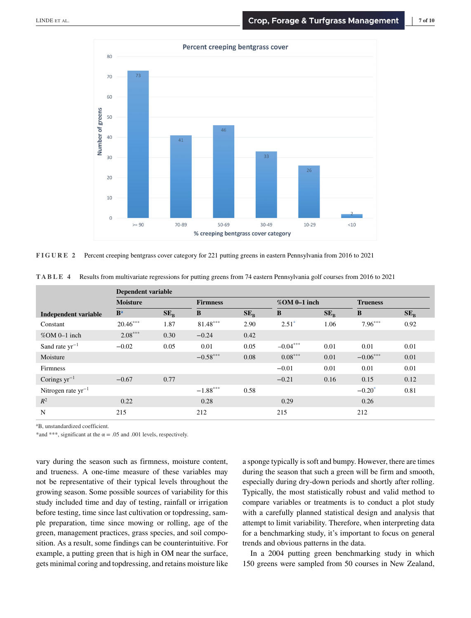<span id="page-6-0"></span>

**FIGURE 2** Percent creeping bentgrass cover category for 221 putting greens in eastern Pennsylvania from 2016 to 2021

|                         | <b>Dependent variable</b> |          |                 |          |            |                 |            |                 |  |
|-------------------------|---------------------------|----------|-----------------|----------|------------|-----------------|------------|-----------------|--|
|                         | <b>Moisture</b>           |          | <b>Firmness</b> |          |            | $%$ OM 0-1 inch |            | <b>Trueness</b> |  |
| Independent variable    | B <sup>a</sup>            | $SE_{R}$ | B               | $SE_{B}$ | B          | $SE_{R}$        | B          | $SE_{R}$        |  |
| Constant                | $20.46***$                | 1.87     | 81.48***        | 2.90     | $2.51*$    | 1.06            | $7.96***$  | 0.92            |  |
| $%OM$ 0-1 inch          | $2.08***$                 | 0.30     | $-0.24$         | 0.42     |            |                 |            |                 |  |
| Sand rate $yr^{-1}$     | $-0.02$                   | 0.05     | 0.01            | 0.05     | $-0.04***$ | 0.01            | 0.01       | 0.01            |  |
| Moisture                |                           |          | $-0.58***$      | 0.08     | $0.08***$  | 0.01            | $-0.06***$ | 0.01            |  |
| Firmness                |                           |          |                 |          | $-0.01$    | 0.01            | 0.01       | 0.01            |  |
| Corings $yr^{-1}$       | $-0.67$                   | 0.77     |                 |          | $-0.21$    | 0.16            | 0.15       | 0.12            |  |
| Nitrogen rate $yr^{-1}$ |                           |          | $-1.88***$      | 0.58     |            |                 | $-0.20^*$  | 0.81            |  |
| $R^2$                   | 0.22                      |          | 0.28            |          | 0.29       |                 | 0.26       |                 |  |
| N                       | 215                       |          | 212             |          | 215        |                 | 212        |                 |  |

**TABLE 4** Results from multivariate regressions for putting greens from 74 eastern Pennsylvania golf courses from 2016 to 2021

aB, unstandardized coefficient.

\*and \*\*\*, significant at the  $\alpha = .05$  and .001 levels, respectively.

vary during the season such as firmness, moisture content, and trueness. A one-time measure of these variables may not be representative of their typical levels throughout the growing season. Some possible sources of variability for this study included time and day of testing, rainfall or irrigation before testing, time since last cultivation or topdressing, sample preparation, time since mowing or rolling, age of the green, management practices, grass species, and soil composition. As a result, some findings can be counterintuitive. For example, a putting green that is high in OM near the surface, gets minimal coring and topdressing, and retains moisture like a sponge typically is soft and bumpy. However, there are times during the season that such a green will be firm and smooth, especially during dry-down periods and shortly after rolling. Typically, the most statistically robust and valid method to compare variables or treatments is to conduct a plot study with a carefully planned statistical design and analysis that attempt to limit variability. Therefore, when interpreting data for a benchmarking study, it's important to focus on general trends and obvious patterns in the data.

In a 2004 putting green benchmarking study in which 150 greens were sampled from 50 courses in New Zealand,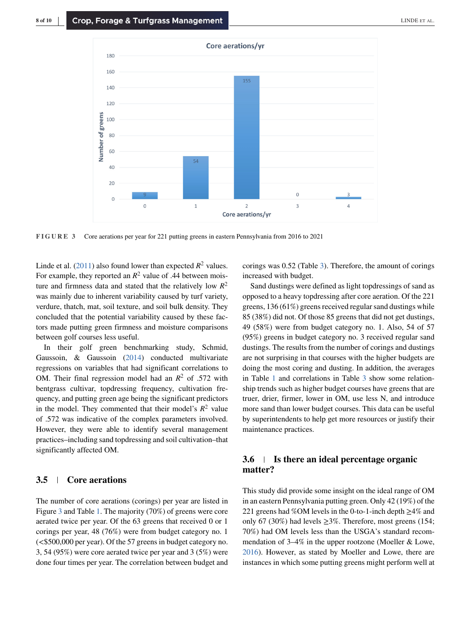

**FIGURE 3** Core aerations per year for 221 putting greens in eastern Pennsylvania from 2016 to 2021

Linde et al. [\(2011\)](#page-9-0) also found lower than expected  $R^2$  values. For example, they reported an  $R^2$  value of .44 between moisture and firmness data and stated that the relatively low  $R^2$ was mainly due to inherent variability caused by turf variety, verdure, thatch, mat, soil texture, and soil bulk density. They concluded that the potential variability caused by these factors made putting green firmness and moisture comparisons between golf courses less useful.

In their golf green benchmarking study, Schmid, Gaussoin, & Gaussoin [\(2014\)](#page-9-0) conducted multivariate regressions on variables that had significant correlations to OM. Their final regression model had an  $R^2$  of .572 with bentgrass cultivar, topdressing frequency, cultivation frequency, and putting green age being the significant predictors in the model. They commented that their model's  $R^2$  value of .572 was indicative of the complex parameters involved. However, they were able to identify several management practices–including sand topdressing and soil cultivation–that significantly affected OM.

#### **3.5 Core aerations**

The number of core aerations (corings) per year are listed in Figure 3 and Table [1.](#page-3-0) The majority (70%) of greens were core aerated twice per year. Of the 63 greens that received 0 or 1 corings per year, 48 (76%) were from budget category no. 1 (*<*\$500,000 per year). Of the 57 greens in budget category no. 3, 54 (95%) were core aerated twice per year and 3 (5%) were done four times per year. The correlation between budget and corings was 0.52 (Table [3\)](#page-5-0). Therefore, the amount of corings increased with budget.

Sand dustings were defined as light topdressings of sand as opposed to a heavy topdressing after core aeration. Of the 221 greens, 136 (61%) greens received regular sand dustings while 85 (38%) did not. Of those 85 greens that did not get dustings, 49 (58%) were from budget category no. 1. Also, 54 of 57 (95%) greens in budget category no. 3 received regular sand dustings. The results from the number of corings and dustings are not surprising in that courses with the higher budgets are doing the most coring and dusting. In addition, the averages in Table [1](#page-3-0) and correlations in Table [3](#page-5-0) show some relationship trends such as higher budget courses have greens that are truer, drier, firmer, lower in OM, use less N, and introduce more sand than lower budget courses. This data can be useful by superintendents to help get more resources or justify their maintenance practices.

# **3.6 Is there an ideal percentage organic matter?**

This study did provide some insight on the ideal range of OM in an eastern Pennsylvania putting green. Only 42 (19%) of the 221 greens had %OM levels in the 0-to-1-inch depth  $\geq$ 4% and only 67 (30%) had levels  $\geq$ 3%. Therefore, most greens (154; 70%) had OM levels less than the USGA's standard recommendation of 3–4% in the upper rootzone (Moeller & Lowe, [2016\)](#page-9-0). However, as stated by Moeller and Lowe, there are instances in which some putting greens might perform well at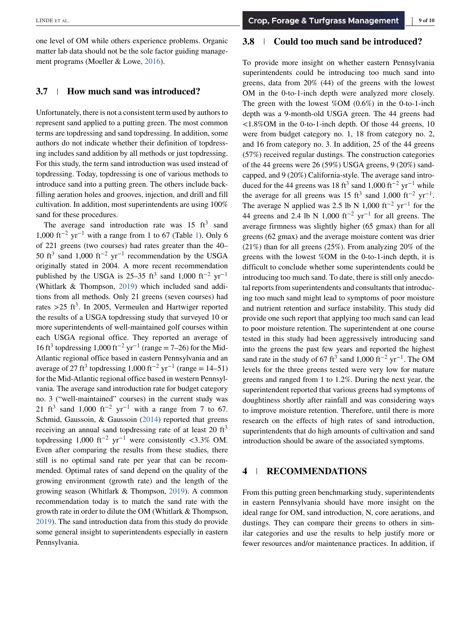one level of OM while others experience problems. Organic matter lab data should not be the sole factor guiding management programs (Moeller & Lowe, [2016\)](#page-9-0).

## **3.7 How much sand was introduced?**

Unfortunately, there is not a consistent term used by authors to represent sand applied to a putting green. The most common terms are topdressing and sand topdressing. In addition, some authors do not indicate whether their definition of topdressing includes sand addition by all methods or just topdressing. For this study, the term sand introduction was used instead of topdressing. Today, topdressing is one of various methods to introduce sand into a putting green. The others include backfilling aeration holes and grooves, injection, and drill and fill cultivation. In addition, most superintendents are using 100% sand for these procedures.

The average sand introduction rate was  $15 \text{ ft}^3$  sand 1,000 ft<sup>-2</sup> yr<sup>-1</sup> with a range from 1 to 67 (Table [1\)](#page-3-0). Only 6 of 221 greens (two courses) had rates greater than the 40– 50 ft<sup>3</sup> sand 1,000 ft<sup>-2</sup> yr<sup>-1</sup> recommendation by the USGA originally stated in 2004. A more recent recommendation published by the USGA is 25–35 ft<sup>3</sup> sand 1,000 ft<sup>-2</sup> yr<sup>-1</sup> (Whitlark & Thompson, [2019\)](#page-9-0) which included sand additions from all methods. Only 21 greens (seven courses) had rates  $>25$  ft<sup>3</sup>. In 2005, Vermeulen and Hartwiger reported the results of a USGA topdressing study that surveyed 10 or more superintendents of well-maintained golf courses within each USGA regional office. They reported an average of 16 ft<sup>3</sup> topdressing 1,000 ft<sup>-2</sup> yr<sup>-1</sup> (range = 7–26) for the Mid-Atlantic regional office based in eastern Pennsylvania and an average of 27 ft<sup>3</sup> topdressing 1,000 ft<sup>-2</sup> yr<sup>-1</sup> (range = 14–51) for the Mid-Atlantic regional office based in western Pennsylvania. The average sand introduction rate for budget category no. 3 ("well-maintained" courses) in the current study was 21 ft<sup>3</sup> sand 1,000 ft<sup>-2</sup> yr<sup>-1</sup> with a range from 7 to 67. Schmid, Gaussoin, & Gaussoin [\(2014\)](#page-9-0) reported that greens receiving an annual sand topdressing rate of at least  $20 \text{ ft}^3$ topdressing 1,000 ft−<sup>2</sup> yr−<sup>1</sup> were consistently *<*3.3% OM. Even after comparing the results from these studies, there still is no optimal sand rate per year that can be recommended. Optimal rates of sand depend on the quality of the growing environment (growth rate) and the length of the growing season (Whitlark & Thompson, [2019\)](#page-9-0). A common recommendation today is to match the sand rate with the growth rate in order to dilute the OM (Whitlark & Thompson, [2019\)](#page-9-0). The sand introduction data from this study do provide some general insight to superintendents especially in eastern Pennsylvania.

## **3.8 Could too much sand be introduced?**

To provide more insight on whether eastern Pennsylvania superintendents could be introducing too much sand into greens, data from 20% (44) of the greens with the lowest OM in the 0-to-1-inch depth were analyzed more closely. The green with the lowest  $%$ OM (0.6%) in the 0-to-1-inch depth was a 9-month-old USGA green. The 44 greens had *<*1.8%OM in the 0-to-1-inch depth. Of those 44 greens, 10 were from budget category no. 1, 18 from category no. 2, and 16 from category no. 3. In addition, 25 of the 44 greens (57%) received regular dustings. The construction categories of the 44 greens were 26 (59%) USGA greens, 9 (20%) sandcapped, and 9 (20%) California-style. The average sand introduced for the 44 greens was 18 ft<sup>3</sup> sand 1,000 ft<sup>-2</sup> yr<sup>-1</sup> while the average for all greens was 15 ft<sup>3</sup> sand 1,000 ft<sup>-2</sup> yr<sup>-1</sup>. The average N applied was 2.5 lb N 1,000 ft<sup>-2</sup> yr<sup>-1</sup> for the 44 greens and 2.4 lb N 1,000 ft<sup>-2</sup> yr<sup>-1</sup> for all greens. The average firmness was slightly higher (65 gmax) than for all greens (62 gmax) and the average moisture content was drier (21%) than for all greens (25%). From analyzing 20% of the greens with the lowest %OM in the 0-to-1-inch depth, it is difficult to conclude whether some superintendents could be introducing too much sand. To date, there is still only anecdotal reports from superintendents and consultants that introducing too much sand might lead to symptoms of poor moisture and nutrient retention and surface instability. This study did provide one such report that applying too much sand can lead to poor moisture retention. The superintendent at one course tested in this study had been aggressively introducing sand into the greens the past few years and reported the highest sand rate in the study of 67 ft<sup>3</sup> sand 1,000 ft<sup>-2</sup> yr<sup>-1</sup>. The OM levels for the three greens tested were very low for mature greens and ranged from 1 to 1.2%. During the next year, the superintendent reported that various greens had symptoms of doughtiness shortly after rainfall and was considering ways to improve moisture retention. Therefore, until there is more research on the effects of high rates of sand introduction, superintendents that do high amounts of cultivation and sand introduction should be aware of the associated symptoms.

# **4 RECOMMENDATIONS**

From this putting green benchmarking study, superintendents in eastern Pennsylvania should have more insight on the ideal range for OM, sand introduction, N, core aerations, and dustings. They can compare their greens to others in similar categories and use the results to help justify more or fewer resources and/or maintenance practices. In addition, if